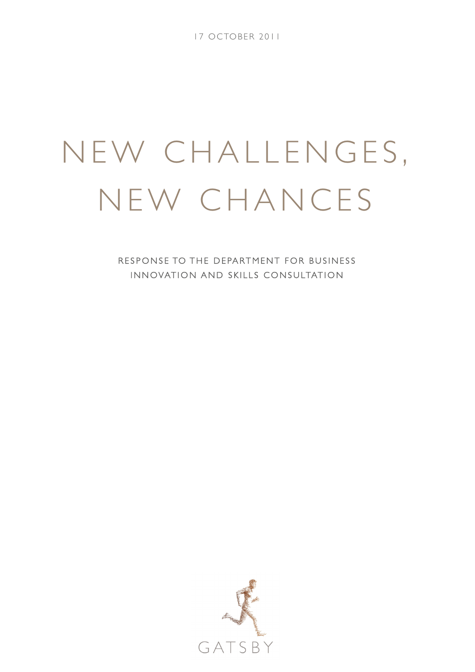17 OCTOBER 2011

# NEW CHALLENGES, NEW CHANCES

RESPONSE TO THE DEPARTMENT FOR BUSINESS INNOVATION AND SKILLS CONSULTATION

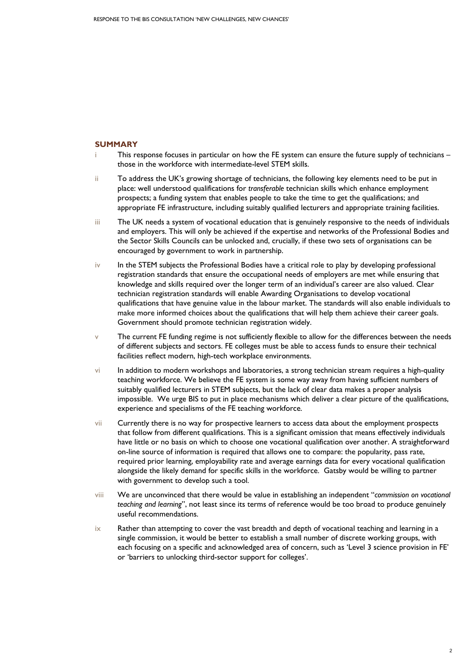## **SUMMARY**

- i This response focuses in particular on how the FE system can ensure the future supply of technicians those in the workforce with intermediate-level STEM skills.
- ii To address the UK's growing shortage of technicians, the following key elements need to be put in place: well understood qualifications for *transferable* technician skills which enhance employment prospects; a funding system that enables people to take the time to get the qualifications; and appropriate FE infrastructure, including suitably qualified lecturers and appropriate training facilities.
- iii The UK needs a system of vocational education that is genuinely responsive to the needs of individuals and employers. This will only be achieved if the expertise and networks of the Professional Bodies and the Sector Skills Councils can be unlocked and, crucially, if these two sets of organisations can be encouraged by government to work in partnership.
- iv In the STEM subjects the Professional Bodies have a critical role to play by developing professional registration standards that ensure the occupational needs of employers are met while ensuring that knowledge and skills required over the longer term of an individual's career are also valued. Clear technician registration standards will enable Awarding Organisations to develop vocational qualifications that have genuine value in the labour market. The standards will also enable individuals to make more informed choices about the qualifications that will help them achieve their career goals. Government should promote technician registration widely.
- $v$  The current FE funding regime is not sufficiently flexible to allow for the differences between the needs of different subjects and sectors. FE colleges must be able to access funds to ensure their technical facilities reflect modern, high-tech workplace environments.
- vi In addition to modern workshops and laboratories, a strong technician stream requires a high-quality teaching workforce. We believe the FE system is some way away from having sufficient numbers of suitably qualified lecturers in STEM subjects, but the lack of clear data makes a proper analysis impossible. We urge BIS to put in place mechanisms which deliver a clear picture of the qualifications, experience and specialisms of the FE teaching workforce.
- vii Currently there is no way for prospective learners to access data about the employment prospects that follow from different qualifications. This is a significant omission that means effectively individuals have little or no basis on which to choose one vocational qualification over another. A straightforward on-line source of information is required that allows one to compare: the popularity, pass rate, required prior learning, employability rate and average earnings data for every vocational qualification alongside the likely demand for specific skills in the workforce. Gatsby would be willing to partner with government to develop such a tool.
- viii We are unconvinced that there would be value in establishing an independent "*commission on vocational teaching and learning*", not least since its terms of reference would be too broad to produce genuinely useful recommendations.
- ix Rather than attempting to cover the vast breadth and depth of vocational teaching and learning in a single commission, it would be better to establish a small number of discrete working groups, with each focusing on a specific and acknowledged area of concern, such as 'Level 3 science provision in FE' or 'barriers to unlocking third-sector support for colleges'.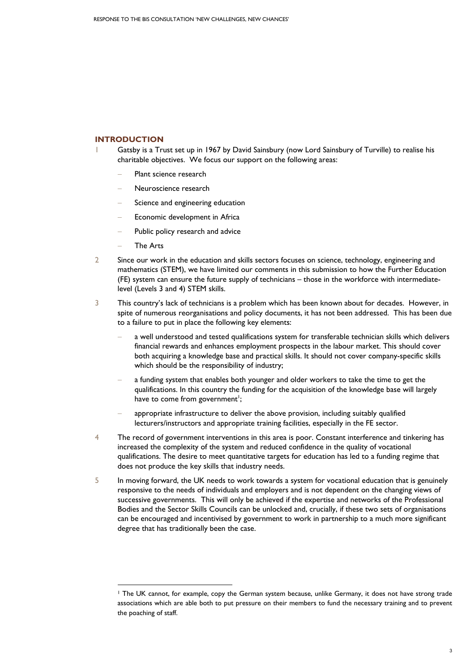# **INTRODUCTION**

- Gatsby is a Trust set up in 1967 by David Sainsbury (now Lord Sainsbury of Turville) to realise his charitable objectives. We focus our support on the following areas:
	- Plant science research
	- − Neuroscience research
	- Science and engineering education
	- Economic development in Africa
	- Public policy research and advice
	- − The Arts

1

- 2 Since our work in the education and skills sectors focuses on science, technology, engineering and mathematics (STEM), we have limited our comments in this submission to how the Further Education (FE) system can ensure the future supply of technicians – those in the workforce with intermediatelevel (Levels 3 and 4) STEM skills.
- 3 This country's lack of technicians is a problem which has been known about for decades. However, in spite of numerous reorganisations and policy documents, it has not been addressed. This has been due to a failure to put in place the following key elements:
	- a well understood and tested qualifications system for transferable technician skills which delivers financial rewards and enhances employment prospects in the labour market. This should cover both acquiring a knowledge base and practical skills. It should not cover company-specific skills which should be the responsibility of industry;
	- a funding system that enables both younger and older workers to take the time to get the qualifications. In this country the funding for the acquisition of the knowledge base will largely have to come from government<sup>1</sup>;
	- appropriate infrastructure to deliver the above provision, including suitably qualified lecturers/instructors and appropriate training facilities, especially in the FE sector.
- 4 The record of government interventions in this area is poor. Constant interference and tinkering has increased the complexity of the system and reduced confidence in the quality of vocational qualifications. The desire to meet quantitative targets for education has led to a funding regime that does not produce the key skills that industry needs.
- 5 In moving forward, the UK needs to work towards a system for vocational education that is genuinely responsive to the needs of individuals and employers and is not dependent on the changing views of successive governments. This will only be achieved if the expertise and networks of the Professional Bodies and the Sector Skills Councils can be unlocked and, crucially, if these two sets of organisations can be encouraged and incentivised by government to work in partnership to a much more significant degree that has traditionally been the case.

<sup>1</sup> The UK cannot, for example, copy the German system because, unlike Germany, it does not have strong trade associations which are able both to put pressure on their members to fund the necessary training and to prevent the poaching of staff.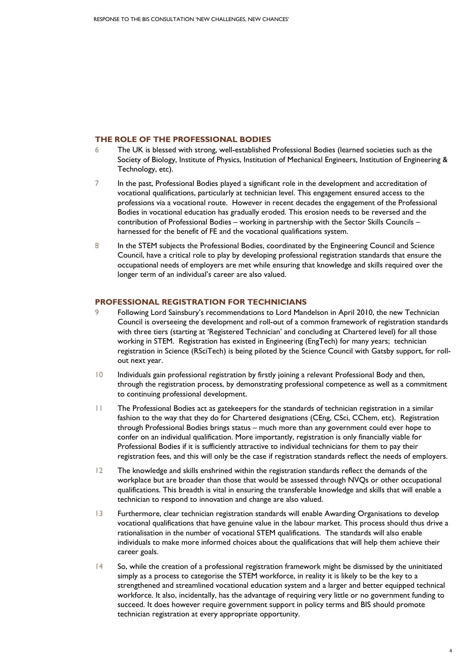## **THE ROLE OF THE PROFESSIONAL BODIES**

- 6 The UK is blessed with strong, well-established Professional Bodies (learned societies such as the Society of Biology, Institute of Physics, Institution of Mechanical Engineers, Institution of Engineering & Technology, etc).
- 7 In the past, Professional Bodies played a significant role in the development and accreditation of vocational qualifications, particularly at technician level. This engagement ensured access to the professions via a vocational route. However in recent decades the engagement of the Professional Bodies in vocational education has gradually eroded. This erosion needs to be reversed and the contribution of Professional Bodies – working in partnership with the Sector Skills Councils – harnessed for the benefit of FE and the vocational qualifications system.
- 8 In the STEM subjects the Professional Bodies, coordinated by the Engineering Council and Science Council, have a critical role to play by developing professional registration standards that ensure the occupational needs of employers are met while ensuring that knowledge and skills required over the longer term of an individual's career are also valued.

# **PROFESSIONAL REGISTRATION FOR TECHNICIANS**

- 9 Following Lord Sainsbury's recommendations to Lord Mandelson in April 2010, the new Technician Council is overseeing the development and roll-out of a common framework of registration standards with three tiers (starting at 'Registered Technician' and concluding at Chartered level) for all those working in STEM. Registration has existed in Engineering (EngTech) for many years; technician registration in Science (RSciTech) is being piloted by the Science Council with Gatsby support, for rollout next year.
- 10 Individuals gain professional registration by firstly joining a relevant Professional Body and then, through the registration process, by demonstrating professional competence as well as a commitment to continuing professional development.
- 11 The Professional Bodies act as gatekeepers for the standards of technician registration in a similar fashion to the way that they do for Chartered designations (CEng, CSci, CChem, etc). Registration through Professional Bodies brings status – much more than any government could ever hope to confer on an individual qualification. More importantly, registration is only financially viable for Professional Bodies if it is sufficiently attractive to individual technicians for them to pay their registration fees, and this will only be the case if registration standards reflect the needs of employers.
- 12 The knowledge and skills enshrined within the registration standards reflect the demands of the workplace but are broader than those that would be assessed through NVQs or other occupational qualifications. This breadth is vital in ensuring the transferable knowledge and skills that will enable a technician to respond to innovation and change are also valued.
- 13 Furthermore, clear technician registration standards will enable Awarding Organisations to develop vocational qualifications that have genuine value in the labour market. This process should thus drive a rationalisation in the number of vocational STEM qualifications. The standards will also enable individuals to make more informed choices about the qualifications that will help them achieve their career goals.
- 14 So, while the creation of a professional registration framework might be dismissed by the uninitiated simply as a process to categorise the STEM workforce, in reality it is likely to be the key to a strengthened and streamlined vocational education system and a larger and better equipped technical workforce. It also, incidentally, has the advantage of requiring very little or no government funding to succeed. It does however require government support in policy terms and BIS should promote technician registration at every appropriate opportunity.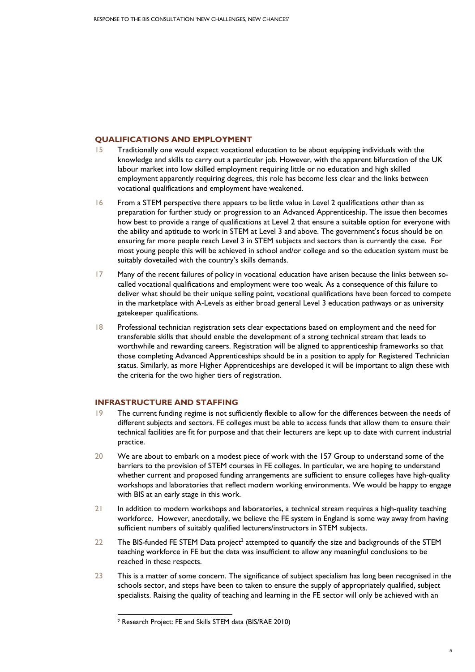# **QUALIFICATIONS AND EMPLOYMENT**

- 15 Traditionally one would expect vocational education to be about equipping individuals with the knowledge and skills to carry out a particular job. However, with the apparent bifurcation of the UK labour market into low skilled employment requiring little or no education and high skilled employment apparently requiring degrees, this role has become less clear and the links between vocational qualifications and employment have weakened.
- 16 From a STEM perspective there appears to be little value in Level 2 qualifications other than as preparation for further study or progression to an Advanced Apprenticeship. The issue then becomes how best to provide a range of qualifications at Level 2 that ensure a suitable option for everyone with the ability and aptitude to work in STEM at Level 3 and above. The government's focus should be on ensuring far more people reach Level 3 in STEM subjects and sectors than is currently the case. For most young people this will be achieved in school and/or college and so the education system must be suitably dovetailed with the country's skills demands.
- 17 Many of the recent failures of policy in vocational education have arisen because the links between socalled vocational qualifications and employment were too weak. As a consequence of this failure to deliver what should be their unique selling point, vocational qualifications have been forced to compete in the marketplace with A-Levels as either broad general Level 3 education pathways or as university gatekeeper qualifications.
- 18 Professional technician registration sets clear expectations based on employment and the need for transferable skills that should enable the development of a strong technical stream that leads to worthwhile and rewarding careers. Registration will be aligned to apprenticeship frameworks so that those completing Advanced Apprenticeships should be in a position to apply for Registered Technician status. Similarly, as more Higher Apprenticeships are developed it will be important to align these with the criteria for the two higher tiers of registration.

# **INFRASTRUCTURE AND STAFFING**

- 19 The current funding regime is not sufficiently flexible to allow for the differences between the needs of different subjects and sectors. FE colleges must be able to access funds that allow them to ensure their technical facilities are fit for purpose and that their lecturers are kept up to date with current industrial practice.
- 20 We are about to embark on a modest piece of work with the 157 Group to understand some of the barriers to the provision of STEM courses in FE colleges. In particular, we are hoping to understand whether current and proposed funding arrangements are sufficient to ensure colleges have high-quality workshops and laboratories that reflect modern working environments. We would be happy to engage with BIS at an early stage in this work.
- 21 In addition to modern workshops and laboratories, a technical stream requires a high-quality teaching workforce. However, anecdotally, we believe the FE system in England is some way away from having sufficient numbers of suitably qualified lecturers/instructors in STEM subjects.
- 22 The BIS-funded FE STEM Data project<sup>2</sup> attempted to quantify the size and backgrounds of the STEM teaching workforce in FE but the data was insufficient to allow any meaningful conclusions to be reached in these respects.
- 23 This is a matter of some concern. The significance of subject specialism has long been recognised in the schools sector, and steps have been to taken to ensure the supply of appropriately qualified, subject specialists. Raising the quality of teaching and learning in the FE sector will only be achieved with an

1

<sup>2</sup> Research Project: FE and Skills STEM data (BIS/RAE 2010)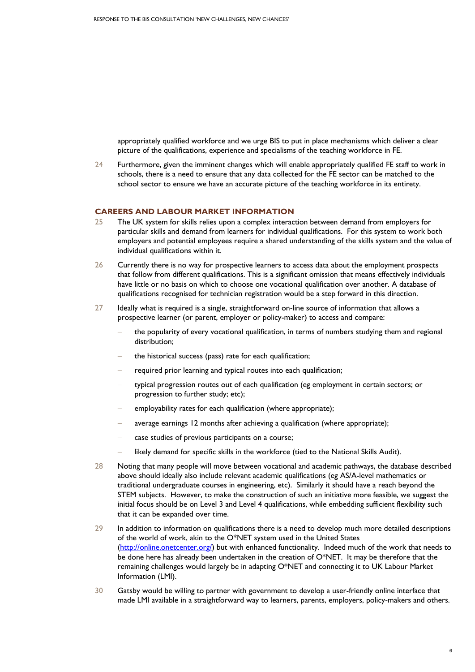appropriately qualified workforce and we urge BIS to put in place mechanisms which deliver a clear picture of the qualifications, experience and specialisms of the teaching workforce in FE.

24 Furthermore, given the imminent changes which will enable appropriately qualified FE staff to work in schools, there is a need to ensure that any data collected for the FE sector can be matched to the school sector to ensure we have an accurate picture of the teaching workforce in its entirety.

### **CAREERS AND LABOUR MARKET INFORMATION**

- 25 The UK system for skills relies upon a complex interaction between demand from employers for particular skills and demand from learners for individual qualifications. For this system to work both employers and potential employees require a shared understanding of the skills system and the value of individual qualifications within it.
- 26 Currently there is no way for prospective learners to access data about the employment prospects that follow from different qualifications. This is a significant omission that means effectively individuals have little or no basis on which to choose one vocational qualification over another. A database of qualifications recognised for technician registration would be a step forward in this direction.
- 27 Ideally what is required is a single, straightforward on-line source of information that allows a prospective learner (or parent, employer or policy-maker) to access and compare:
	- the popularity of every vocational qualification, in terms of numbers studying them and regional distribution;
	- the historical success (pass) rate for each qualification;
	- required prior learning and typical routes into each qualification;
	- typical progression routes out of each qualification (eg employment in certain sectors; or progression to further study; etc);
	- employability rates for each qualification (where appropriate);
	- average earnings 12 months after achieving a qualification (where appropriate);
	- case studies of previous participants on a course;
	- likely demand for specific skills in the workforce (tied to the National Skills Audit).
- 28 Noting that many people will move between vocational and academic pathways, the database described above should ideally also include relevant academic qualifications (eg AS/A-level mathematics or traditional undergraduate courses in engineering, etc). Similarly it should have a reach beyond the STEM subjects. However, to make the construction of such an initiative more feasible, we suggest the initial focus should be on Level 3 and Level 4 qualifications, while embedding sufficient flexibility such that it can be expanded over time.
- 29 In addition to information on qualifications there is a need to develop much more detailed descriptions of the world of work, akin to the O\*NET system used in the United States (http://online.onetcenter.org/) but with enhanced functionality. Indeed much of the work that needs to be done here has already been undertaken in the creation of  $O^*NET$ . It may be therefore that the remaining challenges would largely be in adapting O\*NET and connecting it to UK Labour Market Information (LMI).
- 30 Gatsby would be willing to partner with government to develop a user-friendly online interface that made LMI available in a straightforward way to learners, parents, employers, policy-makers and others.